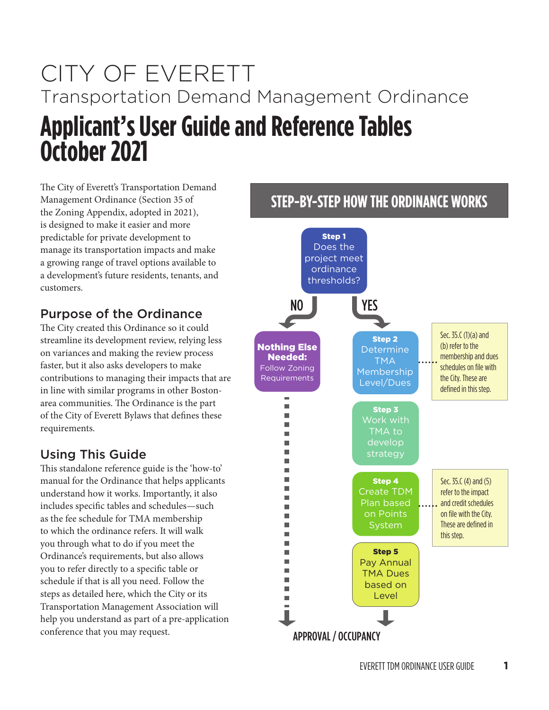# CITY OF EVERETT Transportation Demand Management Ordinance **Applicant's User Guide and Reference Tables October 2021**

The City of Everett's Transportation Demand Management Ordinance (Section 35 of the Zoning Appendix, adopted in 2021), is designed to make it easier and more predictable for private development to manage its transportation impacts and make a growing range of travel options available to a development's future residents, tenants, and customers.

### Purpose of the Ordinance

The City created this Ordinance so it could streamline its development review, relying less on variances and making the review process faster, but it also asks developers to make contributions to managing their impacts that are in line with similar programs in other Bostonarea communities. The Ordinance is the part of the City of Everett Bylaws that defines these requirements.

## Using This Guide

This standalone reference guide is the 'how-to' manual for the Ordinance that helps applicants understand how it works. Importantly, it also includes specific tables and schedules-such as the fee schedule for TMA membership to which the ordinance refers. It will walk you through what to do if you meet the Ordinance's requirements, but also allows you to refer directly to a specific table or schedule if that is all you need. Follow the steps as detailed here, which the City or its Transportation Management Association will help you understand as part of a pre-application conference that you may request.

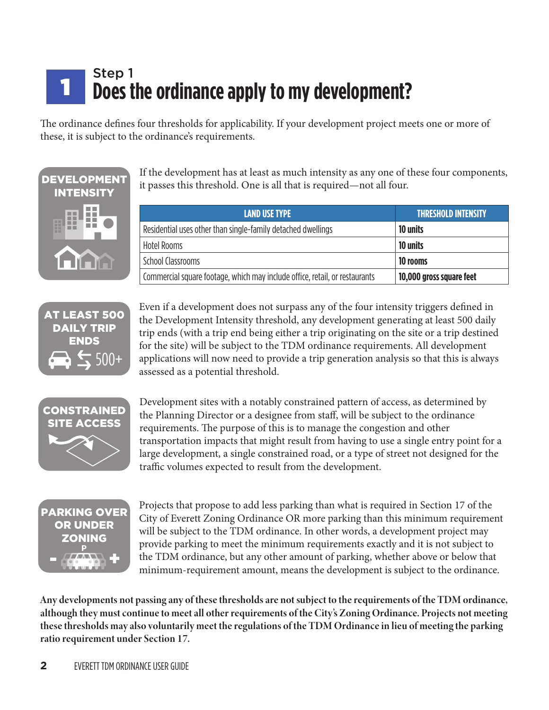### Step 1 **Does the ordinance apply to my development?** 1

The ordinance defines four thresholds for applicability. If your development project meets one or more of these, it is subject to the ordinance's requirements.



If the development has at least as much intensity as any one of these four components, it passes this threshold. One is all that is required—not all four.

| <b>LAND USE TYPE</b>                                                        | <b>THRESHOLD INTENSITY</b> |
|-----------------------------------------------------------------------------|----------------------------|
| Residential uses other than single-family detached dwellings                | 10 units                   |
| <b>Hotel Rooms</b>                                                          | 10 units                   |
| School Classrooms                                                           | 10 rooms                   |
| Commercial square footage, which may include office, retail, or restaurants | 10,000 gross square feet   |



Even if a development does not surpass any of the four intensity triggers defined in the Development Intensity threshold, any development generating at least 500 daily trip ends (with a trip end being either a trip originating on the site or a trip destined for the site) will be subject to the TDM ordinance requirements. All development applications will now need to provide a trip generation analysis so that this is always assessed as a potential threshold.



Development sites with a notably constrained pattern of access, as determined by the Planning Director or a designee from staff, will be subject to the ordinance requirements. The purpose of this is to manage the congestion and other transportation impacts that might result from having to use a single entry point for a large development, a single constrained road, or a type of street not designed for the traffic volumes expected to result from the development.



Projects that propose to add less parking than what is required in Section 17 of the City of Everett Zoning Ordinance OR more parking than this minimum requirement will be subject to the TDM ordinance. In other words, a development project may provide parking to meet the minimum requirements exactly and it is not subject to the TDM ordinance, but any other amount of parking, whether above or below that minimum-requirement amount, means the development is subject to the ordinance.

Any developments not passing any of these thresholds are not subiect to the requirements of the TDM ordinance, although they must continue to meet all other requirements of the City's Zoning Ordinance. Projects not meeting these thresholds may also voluntarily meet the regulations of the TDM Ordinance in lieu of meeting the parking **ratio requirement under Section 17.**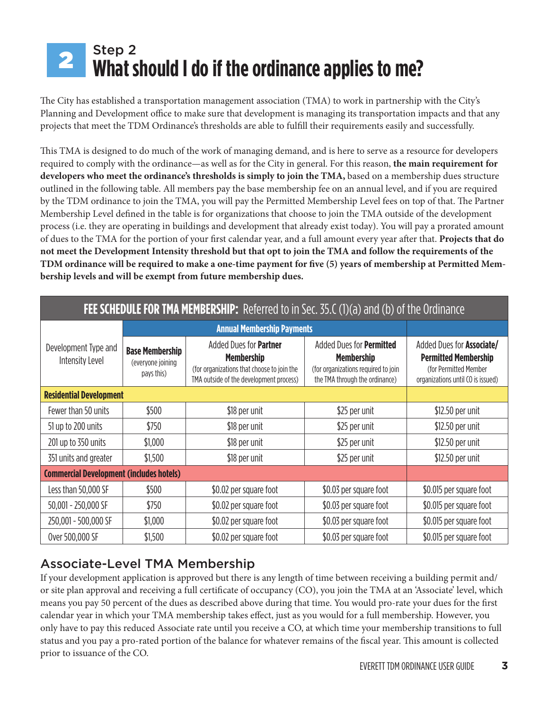### Step 2 **What should I do if the ordinance applies to me?** 2

The City has established a transportation management association (TMA) to work in partnership with the City's Planning and Development office to make sure that development is managing its transportation impacts and that any projects that meet the TDM Ordinance's thresholds are able to fulfill their requirements easily and successfully.

This TMA is designed to do much of the work of managing demand, and is here to serve as a resource for developers required to comply with the ordinance—as well as for the City in general. For this reason, **the main requirement for developers who meet the ordinance's thresholds is simply to join the TMA,** based on a membership dues structure outlined in the following table. All members pay the base membership fee on an annual level, and if you are required by the TDM ordinance to join the TMA, you will pay the Permitted Membership Level fees on top of that. The Partner Membership Level defined in the table is for organizations that choose to join the TMA outside of the development process (i.e. they are operating in buildings and development that already exist today). You will pay a prorated amount of dues to the TMA for the portion of your first calendar year, and a full amount every year after that. **Projects that do not meet the Development Intensity threshold but that opt to join the TMA and follow the requirements of the**  TDM ordinance will be required to make a one-time payment for five (5) years of membership at Permitted Mem**bership levels and will be exempt from future membership dues.**

| <b>FEE SCHEDULE FOR TMA MEMBERSHIP:</b> Referred to in Sec. 35.C (1)(a) and (b) of the Ordinance |                                                           |                                                                                                                                             |                                                                                                                        |                                                                                                                               |  |
|--------------------------------------------------------------------------------------------------|-----------------------------------------------------------|---------------------------------------------------------------------------------------------------------------------------------------------|------------------------------------------------------------------------------------------------------------------------|-------------------------------------------------------------------------------------------------------------------------------|--|
|                                                                                                  |                                                           | <b>Annual Membership Payments</b>                                                                                                           |                                                                                                                        |                                                                                                                               |  |
| Development Type and<br>Intensity Level                                                          | <b>Base Membership</b><br>(everyone joining<br>pays this) | Added Dues for <b>Partner</b><br><b>Membership</b><br>(for organizations that choose to join the<br>TMA outside of the development process) | Added Dues for Permitted<br><b>Membership</b><br>(for organizations required to join<br>the TMA through the ordinance) | Added Dues for <b>Associate/</b><br><b>Permitted Membership</b><br>(for Permitted Member<br>organizations until CO is issued) |  |
| <b>Residential Development</b>                                                                   |                                                           |                                                                                                                                             |                                                                                                                        |                                                                                                                               |  |
| Fewer than 50 units                                                                              | \$500                                                     | \$18 per unit                                                                                                                               | \$25 per unit                                                                                                          | \$12.50 per unit                                                                                                              |  |
| 51 up to 200 units                                                                               | \$750                                                     | \$18 per unit                                                                                                                               | \$25 per unit                                                                                                          | \$12.50 per unit                                                                                                              |  |
| 201 up to 350 units                                                                              | \$1,000                                                   | \$18 per unit                                                                                                                               | \$25 per unit                                                                                                          | \$12.50 per unit                                                                                                              |  |
| 351 units and greater                                                                            | \$1,500                                                   | \$18 per unit                                                                                                                               | \$25 per unit                                                                                                          | \$12.50 per unit                                                                                                              |  |
|                                                                                                  | <b>Commercial Development (includes hotels)</b>           |                                                                                                                                             |                                                                                                                        |                                                                                                                               |  |
| Less than 50,000 SF                                                                              | \$500                                                     | \$0.02 per square foot                                                                                                                      | \$0.03 per square foot                                                                                                 | \$0.015 per square foot                                                                                                       |  |
| 50,001 - 250,000 SF                                                                              | \$750                                                     | \$0.02 per square foot                                                                                                                      | \$0.03 per square foot                                                                                                 | \$0.015 per square foot                                                                                                       |  |
| 250,001 - 500,000 SF                                                                             | \$1,000                                                   | \$0.02 per square foot                                                                                                                      | \$0.03 per square foot                                                                                                 | \$0.015 per square foot                                                                                                       |  |
| Over 500,000 SF                                                                                  | \$1,500                                                   | \$0.02 per square foot                                                                                                                      | \$0.03 per square foot                                                                                                 | \$0.015 per square foot                                                                                                       |  |

# Associate-Level TMA Membership

If your development application is approved but there is any length of time between receiving a building permit and/ or site plan approval and receiving a full certificate of occupancy (CO), you join the TMA at an 'Associate' level, which means you pay 50 percent of the dues as described above during that time. You would pro-rate your dues for the first calendar year in which your TMA membership takes effect, just as you would for a full membership. However, you only have to pay this reduced Associate rate until you receive a CO, at which time your membership transitions to full status and you pay a pro-rated portion of the balance for whatever remains of the fiscal year. This amount is collected prior to issuance of the CO.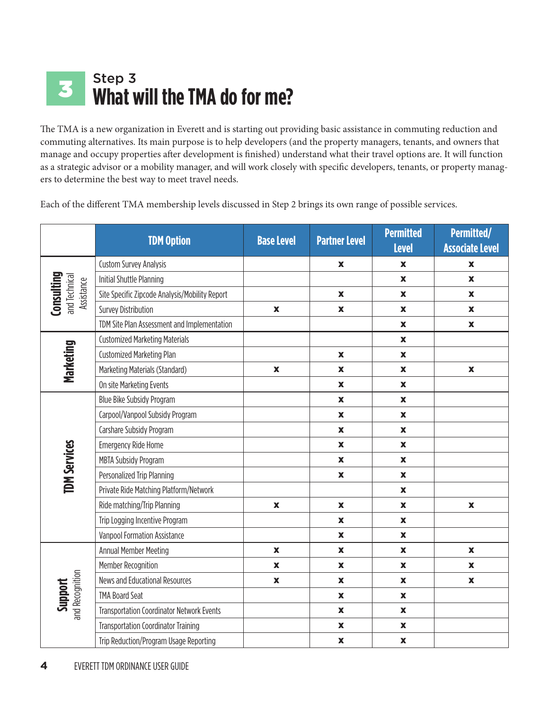### Step 3 **What will the TMA do for me?** 3

The TMA is a new organization in Everett and is starting out providing basic assistance in commuting reduction and commuting alternatives. Its main purpose is to help developers (and the property managers, tenants, and owners that manage and occupy properties after development is finished) understand what their travel options are. It will function as a strategic advisor or a mobility manager, and will work closely with specific developers, tenants, or property managers to determine the best way to meet travel needs.

Each of the different TMA membership levels discussed in Step 2 brings its own range of possible services.

|                             | <b>TDM Option</b>                                | <b>Base Level</b>         | <b>Partner Level</b>      | <b>Permitted</b><br><b>Level</b> | Permitted/<br><b>Associate Level</b> |
|-----------------------------|--------------------------------------------------|---------------------------|---------------------------|----------------------------------|--------------------------------------|
|                             | <b>Custom Survey Analysis</b>                    |                           | $\boldsymbol{\mathsf{X}}$ | X                                | X                                    |
| Consulting                  | Initial Shuttle Planning                         |                           |                           | $\mathbf x$                      | $\pmb{\mathsf{x}}$                   |
| and Technical<br>Assistance | Site Specific Zipcode Analysis/Mobility Report   |                           | $\boldsymbol{\mathsf{X}}$ | $\boldsymbol{\mathsf{X}}$        | $\pmb{\mathsf{X}}$                   |
|                             | <b>Survey Distribution</b>                       | $\pmb{\mathsf{x}}$        | $\pmb{\mathsf{x}}$        | $\boldsymbol{\mathsf{X}}$        | $\boldsymbol{\mathsf{X}}$            |
|                             | TDM Site Plan Assessment and Implementation      |                           |                           | $\mathbf x$                      | $\boldsymbol{\mathsf{X}}$            |
|                             | <b>Customized Marketing Materials</b>            |                           |                           | $\mathbf x$                      |                                      |
|                             | <b>Customized Marketing Plan</b>                 |                           | $\mathbf x$               | $\mathbf x$                      |                                      |
| Marketing                   | Marketing Materials (Standard)                   | $\boldsymbol{\mathsf{X}}$ | $\pmb{\mathsf{x}}$        | $\mathbf x$                      | $\boldsymbol{\mathsf{X}}$            |
|                             | On site Marketing Events                         |                           | $\boldsymbol{\mathsf{X}}$ | $\mathbf x$                      |                                      |
|                             | Blue Bike Subsidy Program                        |                           | $\pmb{\mathsf{x}}$        | $\mathbf x$                      |                                      |
|                             | Carpool/Vanpool Subsidy Program                  |                           | $\mathbf x$               | $\pmb{\mathsf{x}}$               |                                      |
|                             | Carshare Subsidy Program                         |                           | $\boldsymbol{\mathsf{X}}$ | $\boldsymbol{\mathsf{X}}$        |                                      |
|                             | <b>Emergency Ride Home</b>                       |                           | $\boldsymbol{\mathsf{X}}$ | $\boldsymbol{\mathsf{X}}$        |                                      |
| <b>TDM Services</b>         | <b>MBTA Subsidy Program</b>                      |                           | $\boldsymbol{\mathsf{X}}$ | $\mathbf x$                      |                                      |
|                             | Personalized Trip Planning                       |                           | $\mathbf x$               | $\mathbf x$                      |                                      |
|                             | Private Ride Matching Platform/Network           |                           |                           | $\mathbf x$                      |                                      |
|                             | Ride matching/Trip Planning                      | $\pmb{\mathsf{x}}$        | $\mathbf x$               | $\mathbf x$                      | $\pmb{\mathsf{X}}$                   |
|                             | Trip Logging Incentive Program                   |                           | $\pmb{\mathsf{x}}$        | $\pmb{\mathsf{x}}$               |                                      |
|                             | Vanpool Formation Assistance                     |                           | $\boldsymbol{\mathsf{X}}$ | $\mathbf x$                      |                                      |
|                             | Annual Member Meeting                            | $\mathbf x$               | $\boldsymbol{\mathsf{X}}$ | $\mathbf x$                      | $\boldsymbol{\mathsf{X}}$            |
|                             | Member Recognition                               | $\pmb{\mathsf{x}}$        | $\pmb{\mathsf{X}}$        | $\pmb{\mathsf{x}}$               | $\boldsymbol{\mathsf{X}}$            |
|                             | News and Educational Resources                   | $\mathbf x$               | $\mathbf x$               | $\mathbf x$                      | $\boldsymbol{\mathsf{X}}$            |
| and Recognition<br>Support  | <b>TMA Board Seat</b>                            |                           | $\mathbf x$               | $\mathbf x$                      |                                      |
|                             | <b>Transportation Coordinator Network Events</b> |                           | $\mathbf x$               | $\mathbf x$                      |                                      |
|                             | <b>Transportation Coordinator Training</b>       |                           | $\pmb{\mathsf{x}}$        | $\mathbf x$                      |                                      |
|                             | Trip Reduction/Program Usage Reporting           |                           | $\pmb{\mathsf{X}}$        | $\pmb{\mathsf{x}}$               |                                      |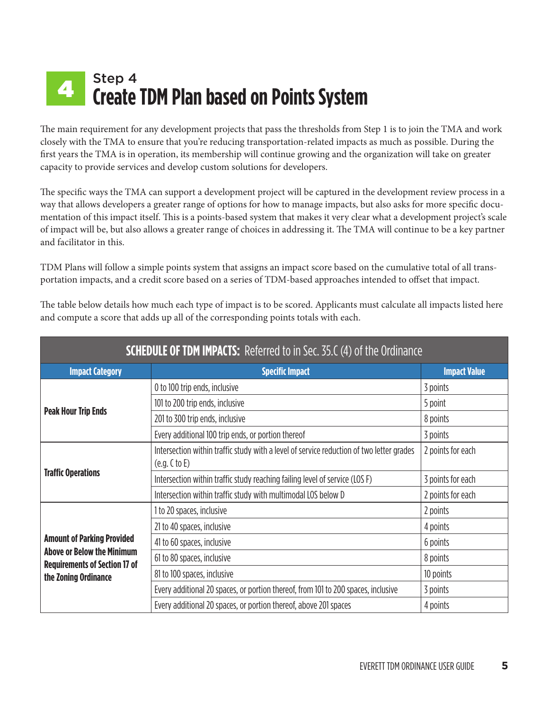### Step 4 **Create TDM Plan based on Points System** 4

The main requirement for any development projects that pass the thresholds from Step 1 is to join the TMA and work closely with the TMA to ensure that you're reducing transportation-related impacts as much as possible. During the first years the TMA is in operation, its membership will continue growing and the organization will take on greater capacity to provide services and develop custom solutions for developers.

The specific ways the TMA can support a development project will be captured in the development review process in a way that allows developers a greater range of options for how to manage impacts, but also asks for more specific documentation of this impact itself. This is a points-based system that makes it very clear what a development project's scale of impact will be, but also allows a greater range of choices in addressing it. The TMA will continue to be a key partner and facilitator in this.

TDM Plans will follow a simple points system that assigns an impact score based on the cumulative total of all transportation impacts, and a credit score based on a series of TDM-based approaches intended to offset that impact.

| <b>SCHEDULE OF TDM IMPACTS:</b> Referred to in Sec. 35.C (4) of the Ordinance |                                                                                                           |                     |  |  |
|-------------------------------------------------------------------------------|-----------------------------------------------------------------------------------------------------------|---------------------|--|--|
| <b>Impact Category</b>                                                        | <b>Specific Impact</b>                                                                                    | <b>Impact Value</b> |  |  |
|                                                                               | 0 to 100 trip ends, inclusive                                                                             | 3 points            |  |  |
| <b>Peak Hour Trip Ends</b>                                                    | 101 to 200 trip ends, inclusive                                                                           | 5 point             |  |  |
|                                                                               | 201 to 300 trip ends, inclusive                                                                           | 8 points            |  |  |
|                                                                               | Every additional 100 trip ends, or portion thereof                                                        | 3 points            |  |  |
|                                                                               | Intersection within traffic study with a level of service reduction of two letter grades<br>(e.g. C to E) | 2 points for each   |  |  |
| <b>Traffic Operations</b>                                                     | Intersection within traffic study reaching failing level of service (LOS F)                               | 3 points for each   |  |  |
|                                                                               | Intersection within traffic study with multimodal LOS below D                                             | 2 points for each   |  |  |
|                                                                               | 1 to 20 spaces, inclusive                                                                                 | 2 points            |  |  |
|                                                                               | 21 to 40 spaces, inclusive                                                                                | 4 points            |  |  |
| <b>Amount of Parking Provided</b>                                             | 41 to 60 spaces, inclusive                                                                                | 6 points            |  |  |
| <b>Above or Below the Minimum</b><br><b>Requirements of Section 17 of</b>     | 61 to 80 spaces, inclusive                                                                                | 8 points            |  |  |
| the Zoning Ordinance                                                          | 81 to 100 spaces, inclusive                                                                               | 10 points           |  |  |
|                                                                               | Every additional 20 spaces, or portion thereof, from 101 to 200 spaces, inclusive                         | 3 points            |  |  |
|                                                                               | Every additional 20 spaces, or portion thereof, above 201 spaces                                          | 4 points            |  |  |

The table below details how much each type of impact is to be scored. Applicants must calculate all impacts listed here and compute a score that adds up all of the corresponding points totals with each.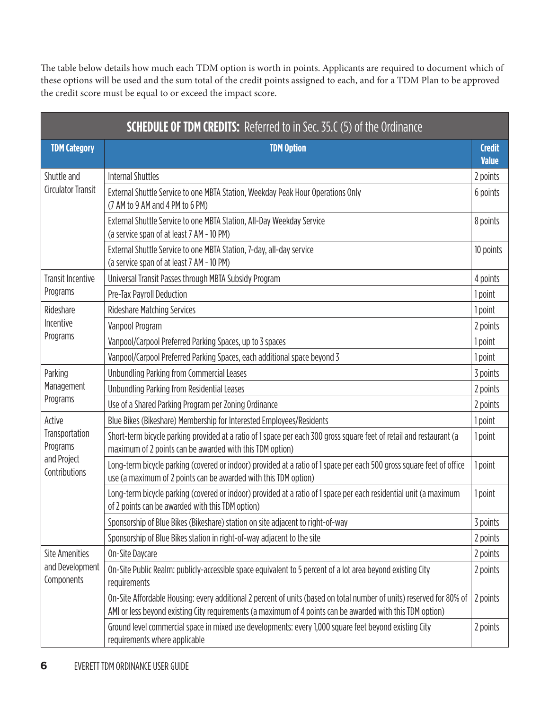The table below details how much each TDM option is worth in points. Applicants are required to document which of these options will be used and the sum total of the credit points assigned to each, and for a TDM Plan to be approved the credit score must be equal to or exceed the impact score.

|                                                                      | <b>SCHEDULE OF TDM CREDITS:</b> Referred to in Sec. 35.C (5) of the Ordinance                                                                                                                                                     |                               |
|----------------------------------------------------------------------|-----------------------------------------------------------------------------------------------------------------------------------------------------------------------------------------------------------------------------------|-------------------------------|
| <b>TDM Category</b>                                                  | <b>TDM Option</b>                                                                                                                                                                                                                 | <b>Credit</b><br><b>Value</b> |
| Shuttle and                                                          | <b>Internal Shuttles</b>                                                                                                                                                                                                          | 2 points                      |
| <b>Circulator Transit</b>                                            | External Shuttle Service to one MBTA Station, Weekday Peak Hour Operations Only<br>(7 AM to 9 AM and 4 PM to 6 PM)                                                                                                                | 6 points                      |
|                                                                      | External Shuttle Service to one MBTA Station, All-Day Weekday Service<br>(a service span of at least 7 AM - 10 PM)                                                                                                                | 8 points                      |
|                                                                      | External Shuttle Service to one MBTA Station, 7-day, all-day service<br>(a service span of at least 7 AM - 10 PM)                                                                                                                 | 10 points                     |
| <b>Transit Incentive</b>                                             | Universal Transit Passes through MBTA Subsidy Program                                                                                                                                                                             | 4 points                      |
| Programs                                                             | Pre-Tax Payroll Deduction                                                                                                                                                                                                         | 1 point                       |
| Rideshare                                                            | <b>Rideshare Matching Services</b>                                                                                                                                                                                                | 1 point                       |
| Incentive                                                            | Vanpool Program                                                                                                                                                                                                                   | 2 points                      |
| Programs                                                             | Vanpool/Carpool Preferred Parking Spaces, up to 3 spaces                                                                                                                                                                          | 1 point                       |
|                                                                      | Vanpool/Carpool Preferred Parking Spaces, each additional space beyond 3                                                                                                                                                          | 1 point                       |
| Parking                                                              | <b>Unbundling Parking from Commercial Leases</b>                                                                                                                                                                                  | 3 points                      |
| Management                                                           | Unbundling Parking from Residential Leases                                                                                                                                                                                        | 2 points                      |
| Programs                                                             | Use of a Shared Parking Program per Zoning Ordinance                                                                                                                                                                              | 2 points                      |
| Active<br>Transportation<br>Programs<br>and Project<br>Contributions | Blue Bikes (Bikeshare) Membership for Interested Employees/Residents                                                                                                                                                              | 1 point                       |
|                                                                      | Short-term bicycle parking provided at a ratio of 1 space per each 300 gross square feet of retail and restaurant (a<br>maximum of 2 points can be awarded with this TDM option)                                                  | 1 point                       |
|                                                                      | Long-term bicycle parking (covered or indoor) provided at a ratio of 1 space per each 500 gross square feet of office<br>use (a maximum of 2 points can be awarded with this TDM option)                                          | 1 point                       |
|                                                                      | Long-term bicycle parking (covered or indoor) provided at a ratio of 1 space per each residential unit (a maximum<br>of 2 points can be awarded with this TDM option)                                                             | 1 point                       |
|                                                                      | Sponsorship of Blue Bikes (Bikeshare) station on site adjacent to right-of-way                                                                                                                                                    | 3 points                      |
|                                                                      | Sponsorship of Blue Bikes station in right-of-way adjacent to the site                                                                                                                                                            | 2 points                      |
| <b>Site Amenities</b>                                                | On-Site Daycare                                                                                                                                                                                                                   | 2 points                      |
| and Development<br>Components                                        | On-Site Public Realm: publicly-accessible space equivalent to 5 percent of a lot area beyond existing City<br>requirements                                                                                                        | 2 points                      |
|                                                                      | On-Site Affordable Housing: every additional 2 percent of units (based on total number of units) reserved for 80% of<br>AMI or less beyond existing City requirements (a maximum of 4 points can be awarded with this TDM option) | 2 points                      |
|                                                                      | Ground level commercial space in mixed use developments: every 1,000 square feet beyond existing City<br>requirements where applicable                                                                                            | 2 points                      |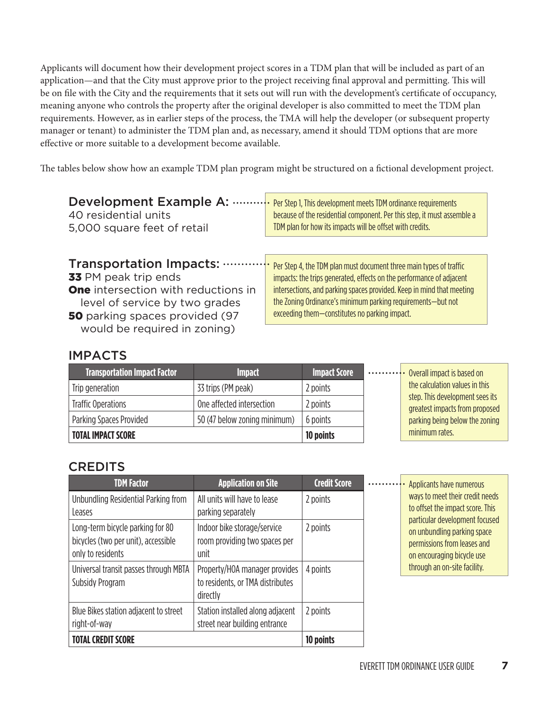Applicants will document how their development project scores in a TDM plan that will be included as part of an application—and that the City must approve prior to the project receiving final approval and permitting. This will be on file with the City and the requirements that it sets out will run with the development's certificate of occupancy, meaning anyone who controls the property after the original developer is also committed to meet the TDM plan requirements. However, as in earlier steps of the process, the TMA will help the developer (or subsequent property manager or tenant) to administer the TDM plan and, as necessary, amend it should TDM options that are more effective or more suitable to a development become available.

The tables below show how an example TDM plan program might be structured on a fictional development project.

| Development Example A:                                                                                                                         | Per Step 1, This development meets TDM ordinance requirements                                                                                                                         |
|------------------------------------------------------------------------------------------------------------------------------------------------|---------------------------------------------------------------------------------------------------------------------------------------------------------------------------------------|
| 40 residential units                                                                                                                           | because of the residential component. Per this step, it must assemble a                                                                                                               |
| 5,000 square feet of retail                                                                                                                    | TDM plan for how its impacts will be offset with credits.                                                                                                                             |
| <b>Transportation Impacts:</b>                                                                                                                 | Per Step 4, the TDM plan must document three main types of traffic                                                                                                                    |
| 33 PM peak trip ends                                                                                                                           | impacts: the trips generated, effects on the performance of adjacent                                                                                                                  |
| <b>One</b> intersection with reductions in<br>level of service by two grades<br>50 parking spaces provided (97<br>would be required in zoning) | intersections, and parking spaces provided. Keep in mind that meeting<br>the Zoning Ordinance's minimum parking requirements—but not<br>exceeding them-constitutes no parking impact. |

### IMPACTS

| <b>Transportation Impact Factor</b> | <b>Impact</b>                | <b>Impact Score</b> | Overall impact is based on                                        |
|-------------------------------------|------------------------------|---------------------|-------------------------------------------------------------------|
| Trip generation                     | 33 trips (PM peak)           | 2 points            | the calculation values in this                                    |
| <b>Traffic Operations</b>           | One affected intersection    | 2 points            | step. This development sees its<br>greatest impacts from proposed |
| Parking Spaces Provided             | 50 (47 below zoning minimum) | 6 points            | parking being below the zoning                                    |
| <b>TOTAL IMPACT SCORE</b>           |                              | 10 points           | minimum rates.                                                    |

### **CREDITS**

| <b>TDM Factor</b>                                                                            | <b>Application on Site</b>                                                    | <b>Credit Score</b> |  |
|----------------------------------------------------------------------------------------------|-------------------------------------------------------------------------------|---------------------|--|
| Unbundling Residential Parking from<br>Leases                                                | All units will have to lease<br>parking separately                            | 2 points            |  |
| Long-term bicycle parking for 80<br>bicycles (two per unit), accessible<br>only to residents | Indoor bike storage/service<br>room providing two spaces per<br>unit          | 2 points            |  |
| Universal transit passes through MBTA<br>Subsidy Program                                     | Property/HOA manager provides<br>to residents, or TMA distributes<br>directly | 4 points            |  |
| Blue Bikes station adjacent to street<br>right-of-way                                        | Station installed along adjacent<br>street near building entrance             | 2 points            |  |
| <b>TOTAL CREDIT SCORE</b>                                                                    |                                                                               | 10 points           |  |

**Willeman Applicants have numerous** ways to meet their credit needs to offset the impact score. This particular development focused on unbundling parking space permissions from leases and on encouraging bicycle use through an on-site facility.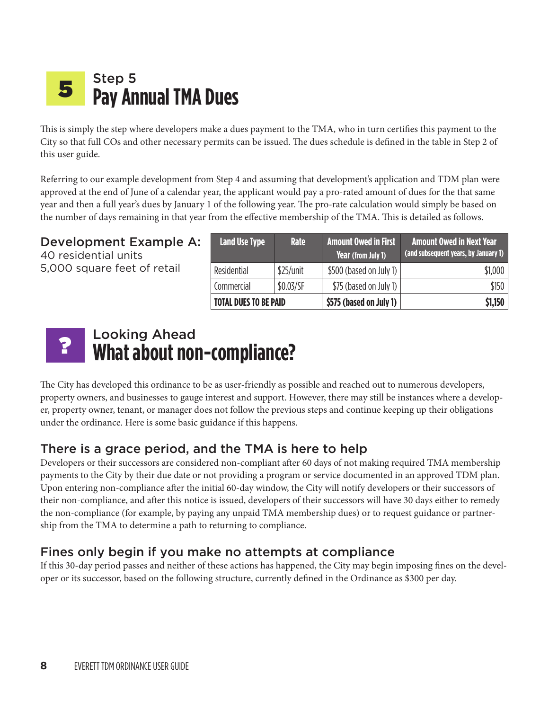#### Step 5 **Pay Annual TMA Dues** 5

This is simply the step where developers make a dues payment to the TMA, who in turn certifies this payment to the City so that full COs and other necessary permits can be issued. The dues schedule is defined in the table in Step 2 of this user guide.

Referring to our example development from Step 4 and assuming that development's application and TDM plan were approved at the end of June of a calendar year, the applicant would pay a pro-rated amount of dues for the that same year and then a full year's dues by January 1 of the following year. The pro-rate calculation would simply be based on the number of days remaining in that year from the effective membership of the TMA. This is detailed as follows.

### Development Example A:

40 residential units 5,000 square feet of retail

| <b>Land Use Type</b>         | <b>Rate</b> | <b>Amount Owed in First</b><br>Year (from July 1) | <b>Amount Owed in Next Year</b><br>(and subsequent years, by January 1) |
|------------------------------|-------------|---------------------------------------------------|-------------------------------------------------------------------------|
| Residential                  | \$25/unit   | \$500 (based on July 1)                           | \$1,000                                                                 |
| Commercial                   | \$0.03/SF   | \$75 (based on July 1)                            | \$150                                                                   |
| <b>TOTAL DUES TO BE PAID</b> |             | \$575 (based on July 1)                           | \$1,150                                                                 |

#### Looking Ahead **What about non-compliance?**  ?

The City has developed this ordinance to be as user-friendly as possible and reached out to numerous developers, property owners, and businesses to gauge interest and support. However, there may still be instances where a developer, property owner, tenant, or manager does not follow the previous steps and continue keeping up their obligations under the ordinance. Here is some basic guidance if this happens.

## There is a grace period, and the TMA is here to help

Developers or their successors are considered non-compliant after 60 days of not making required TMA membership payments to the City by their due date or not providing a program or service documented in an approved TDM plan. Upon entering non-compliance after the initial 60-day window, the City will notify developers or their successors of their non-compliance, and after this notice is issued, developers of their successors will have 30 days either to remedy the non-compliance (for example, by paying any unpaid TMA membership dues) or to request guidance or partnership from the TMA to determine a path to returning to compliance.

## Fines only begin if you make no attempts at compliance

If this 30-day period passes and neither of these actions has happened, the City may begin imposing fines on the developer or its successor, based on the following structure, currently defined in the Ordinance as \$300 per day.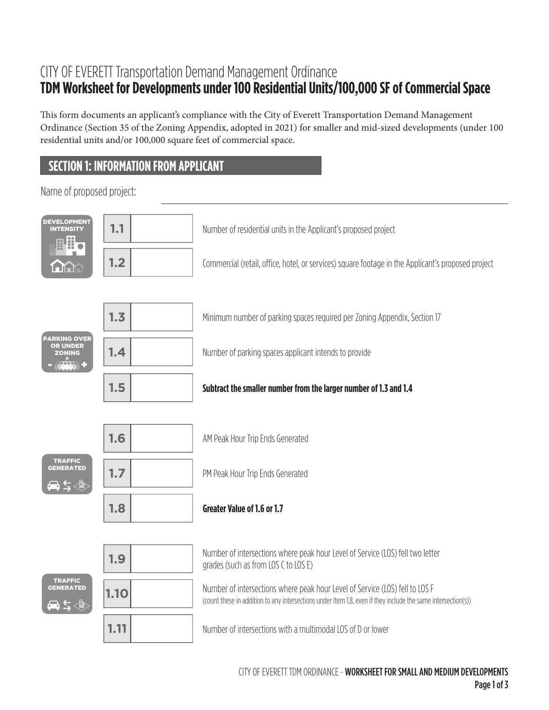# CITY OF EVERETT Transportation Demand Management Ordinance **TDM Worksheet for Developments under 100 Residential Units/100,000 SF of Commercial Space**

This form documents an applicant's compliance with the City of Everett Transportation Demand Management Ordinance (Section 35 of the Zoning Appendix, adopted in 2021) for smaller and mid-sized developments (under 100 residential units and/or 100,000 square feet of commercial space.

# **SECTION 1: INFORMATION FROM APPLICANT**

Name of proposed project:

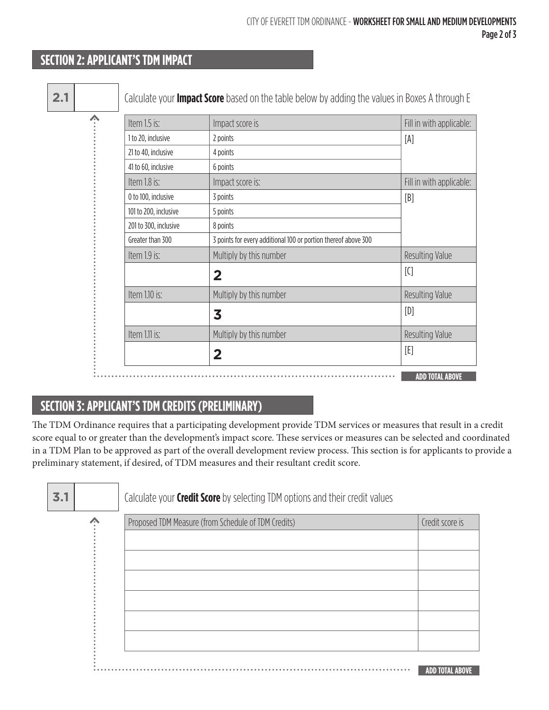# **SECTION 2: APPLICANT'S TDM IMPACT**

| Item 1.5 is:          | Impact score is                                                | Fill in with applicable: |
|-----------------------|----------------------------------------------------------------|--------------------------|
| 1 to 20, inclusive    | 2 points                                                       | [A]                      |
| 21 to 40, inclusive   | 4 points                                                       |                          |
| 41 to 60, inclusive   | 6 points                                                       |                          |
| Item 1.8 is:          | Impact score is:                                               | Fill in with applicable: |
| 0 to 100, inclusive   | 3 points                                                       | [B]                      |
| 101 to 200, inclusive | 5 points                                                       |                          |
| 201 to 300, inclusive | 8 points                                                       |                          |
| Greater than 300      | 3 points for every additional 100 or portion thereof above 300 |                          |
| Item 1.9 is:          | Multiply by this number                                        | Resulting Value          |
|                       | $\overline{2}$                                                 | $[{\mathcal C}]$         |
| Item 1.10 is:         | Multiply by this number                                        | Resulting Value          |
|                       | 3                                                              | [D]                      |
| Item 1.11 is:         | Multiply by this number                                        | Resulting Value          |
|                       | $\overline{\mathbf{2}}$                                        | [E]                      |

# **SECTION 3: APPLICANT'S TDM CREDITS (PRELIMINARY)**

The TDM Ordinance requires that a participating development provide TDM services or measures that result in a credit score equal to or greater than the development's impact score. These services or measures can be selected and coordinated in a TDM Plan to be approved as part of the overall development review process. This section is for applicants to provide a preliminary statement, if desired, of TDM measures and their resultant credit score.

| 3.1 | Calculate your <b>Credit Score</b> by selecting TDM options and their credit values |                        |
|-----|-------------------------------------------------------------------------------------|------------------------|
|     | Proposed TDM Measure (from Schedule of TDM Credits)                                 | Credit score is        |
|     |                                                                                     |                        |
|     |                                                                                     |                        |
|     |                                                                                     |                        |
|     |                                                                                     |                        |
|     |                                                                                     |                        |
|     |                                                                                     |                        |
|     |                                                                                     | <b>ADD TOTAL ABOVE</b> |